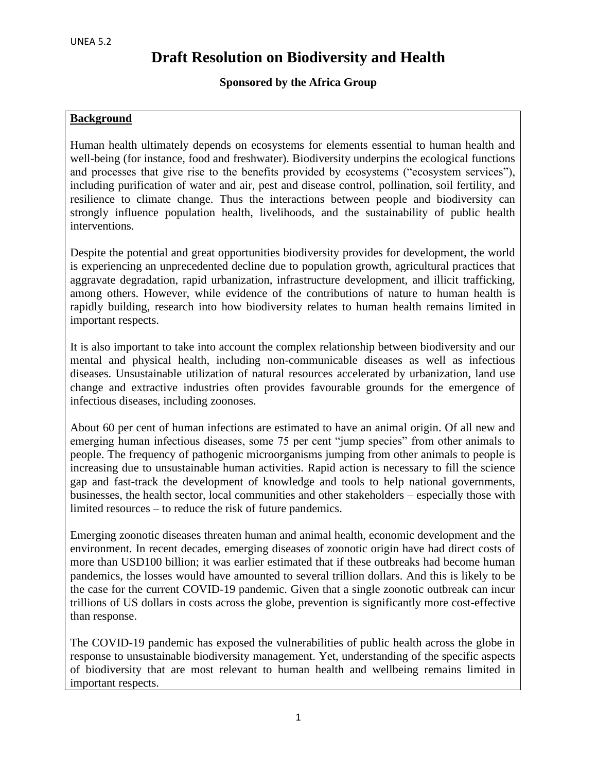## **Sponsored by the Africa Group**

### **Background**

Human health ultimately depends on ecosystems for elements essential to human health and well-being (for instance, food and freshwater). Biodiversity underpins the ecological functions and processes that give rise to the benefits provided by ecosystems ("ecosystem services"), including purification of water and air, pest and disease control, pollination, soil fertility, and resilience to climate change. Thus the interactions between people and biodiversity can strongly influence population health, livelihoods, and the sustainability of public health interventions.

Despite the potential and great opportunities biodiversity provides for development, the world is experiencing an unprecedented decline due to population growth, agricultural practices that aggravate degradation, rapid urbanization, infrastructure development, and illicit trafficking, among others. However, while evidence of the contributions of nature to human health is rapidly building, research into how biodiversity relates to human health remains limited in important respects.

It is also important to take into account the complex relationship between biodiversity and our mental and physical health, including non-communicable diseases as well as infectious diseases. Unsustainable utilization of natural resources accelerated by urbanization, land use change and extractive industries often provides favourable grounds for the emergence of infectious diseases, including zoonoses.

About 60 per cent of human infections are estimated to have an animal origin. Of all new and emerging human infectious diseases, some 75 per cent "jump species" from other animals to people. The frequency of pathogenic microorganisms jumping from other animals to people is increasing due to unsustainable human activities. Rapid action is necessary to fill the science gap and fast-track the development of knowledge and tools to help national governments, businesses, the health sector, local communities and other stakeholders – especially those with limited resources – to reduce the risk of future pandemics.

Emerging zoonotic diseases threaten human and animal health, economic development and the environment. In recent decades, emerging diseases of zoonotic origin have had direct costs of more than USD100 billion; it was earlier estimated that if these outbreaks had become human pandemics, the losses would have amounted to several trillion dollars. And this is likely to be the case for the current COVID-19 pandemic. Given that a single zoonotic outbreak can incur trillions of US dollars in costs across the globe, prevention is significantly more cost-effective than response.

The COVID-19 pandemic has exposed the vulnerabilities of public health across the globe in response to unsustainable biodiversity management. Yet, understanding of the specific aspects of biodiversity that are most relevant to human health and wellbeing remains limited in important respects.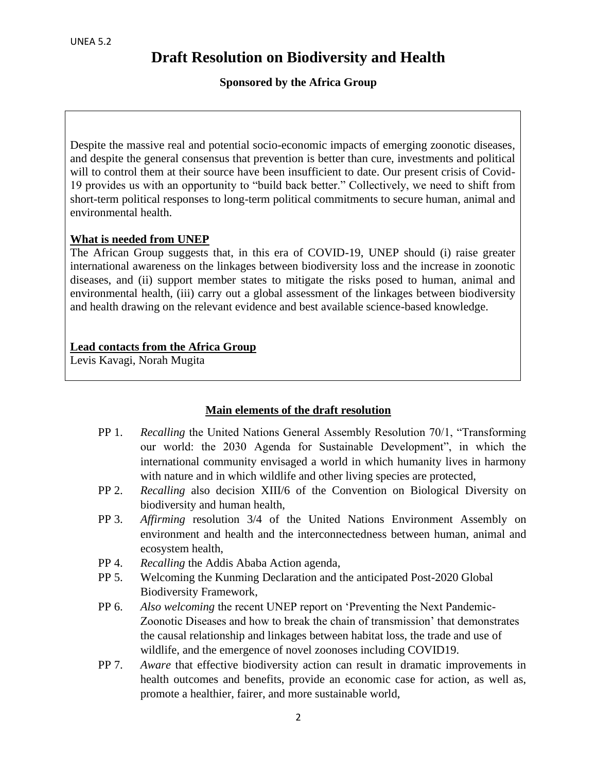### **Sponsored by the Africa Group**

Despite the massive real and potential socio-economic impacts of emerging zoonotic diseases, and despite the general consensus that prevention is better than cure, investments and political will to control them at their source have been insufficient to date. Our present crisis of Covid-19 provides us with an opportunity to "build back better." Collectively, we need to shift from short-term political responses to long-term political commitments to secure human, animal and environmental health.

### **What is needed from UNEP**

The African Group suggests that, in this era of COVID-19, UNEP should (i) raise greater international awareness on the linkages between biodiversity loss and the increase in zoonotic diseases, and (ii) support member states to mitigate the risks posed to human, animal and environmental health, (iii) carry out a global assessment of the linkages between biodiversity and health drawing on the relevant evidence and best available science-based knowledge.

### **Lead contacts from the Africa Group**

Levis Kavagi, Norah Mugita

### **Main elements of the draft resolution**

- PP 1. *Recalling* the United Nations General Assembly Resolution 70/1, "Transforming our world: the 2030 Agenda for Sustainable Development", in which the international community envisaged a world in which humanity lives in harmony with nature and in which wildlife and other living species are protected,
- PP 2. *Recalling* also decision XIII/6 of the Convention on Biological Diversity on biodiversity and human health,
- PP 3. *Affirming* resolution 3/4 of the United Nations Environment Assembly on environment and health and the interconnectedness between human, animal and ecosystem health,
- PP 4. *Recalling* the Addis Ababa Action agenda,
- PP 5. Welcoming the Kunming Declaration and the anticipated Post-2020 Global Biodiversity Framework,
- PP 6. *Also welcoming* the recent UNEP report on 'Preventing the Next Pandemic-Zoonotic Diseases and how to break the chain of transmission' that demonstrates the causal relationship and linkages between habitat loss, the trade and use of wildlife, and the emergence of novel zoonoses including COVID19.
- PP 7. *Aware* that effective biodiversity action can result in dramatic improvements in health outcomes and benefits, provide an economic case for action, as well as, promote a healthier, fairer, and more sustainable world,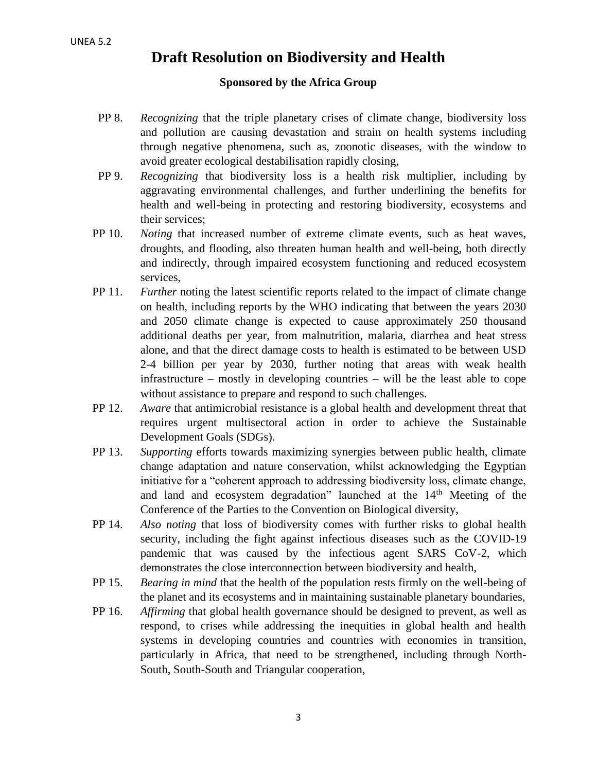#### **Sponsored by the Africa Group**

- PP 8. *Recognizing* that the triple planetary crises of climate change, biodiversity loss and pollution are causing devastation and strain on health systems including through negative phenomena, such as, zoonotic diseases, with the window to avoid greater ecological destabilisation rapidly closing,
- PP 9. *Recognizing* that biodiversity loss is a health risk multiplier, including by aggravating environmental challenges, and further underlining the benefits for health and well-being in protecting and restoring biodiversity, ecosystems and their services;
- PP 10. *Noting* that increased number of extreme climate events, such as heat waves, droughts, and flooding, also threaten human health and well-being, both directly and indirectly, through impaired ecosystem functioning and reduced ecosystem services,
- PP 11. *Further* noting the latest scientific reports related to the impact of climate change on health, including reports by the WHO indicating that between the years 2030 and 2050 climate change is expected to cause approximately 250 thousand additional deaths per year, from malnutrition, malaria, diarrhea and heat stress alone, and that the direct damage costs to health is estimated to be between USD 2-4 billion per year by 2030, further noting that areas with weak health infrastructure – mostly in developing countries – will be the least able to cope without assistance to prepare and respond to such challenges.
- PP 12. *Aware* that antimicrobial resistance is a global health and development threat that requires urgent multisectoral action in order to achieve the Sustainable Development Goals (SDGs).
- PP 13. *Supporting* efforts towards maximizing synergies between public health, climate change adaptation and nature conservation, whilst acknowledging the Egyptian initiative for a "coherent approach to addressing biodiversity loss, climate change, and land and ecosystem degradation" launched at the 14<sup>th</sup> Meeting of the Conference of the Parties to the Convention on Biological diversity,
- PP 14. *Also noting* that loss of biodiversity comes with further risks to global health security, including the fight against infectious diseases such as the COVID-19 pandemic that was caused by the infectious agent SARS CoV-2, which demonstrates the close interconnection between biodiversity and health,
- PP 15. *Bearing in mind* that the health of the population rests firmly on the well-being of the planet and its ecosystems and in maintaining sustainable planetary boundaries,
- PP 16. *Affirming* that global health governance should be designed to prevent, as well as respond, to crises while addressing the inequities in global health and health systems in developing countries and countries with economies in transition, particularly in Africa, that need to be strengthened, including through North-South, South-South and Triangular cooperation,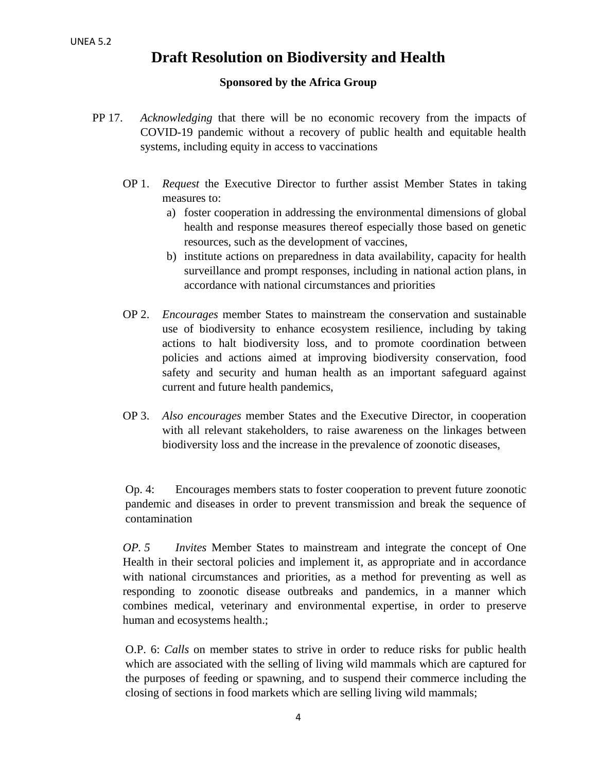#### **Sponsored by the Africa Group**

- PP 17. *Acknowledging* that there will be no economic recovery from the impacts of COVID-19 pandemic without a recovery of public health and equitable health systems, including equity in access to vaccinations
	- OP 1. *Request* the Executive Director to further assist Member States in taking measures to:
		- a) foster cooperation in addressing the environmental dimensions of global health and response measures thereof especially those based on genetic resources, such as the development of vaccines,
		- b) institute actions on preparedness in data availability, capacity for health surveillance and prompt responses, including in national action plans, in accordance with national circumstances and priorities
	- OP 2. *Encourages* member States to mainstream the conservation and sustainable use of biodiversity to enhance ecosystem resilience, including by taking actions to halt biodiversity loss, and to promote coordination between policies and actions aimed at improving biodiversity conservation, food safety and security and human health as an important safeguard against current and future health pandemics,
	- OP 3. *Also encourages* member States and the Executive Director, in cooperation with all relevant stakeholders, to raise awareness on the linkages between biodiversity loss and the increase in the prevalence of zoonotic diseases,

Op. 4: Encourages members stats to foster cooperation to prevent future zoonotic pandemic and diseases in order to prevent transmission and break the sequence of contamination

*OP. 5 Invites* Member States to mainstream and integrate the concept of One Health in their sectoral policies and implement it, as appropriate and in accordance with national circumstances and priorities, as a method for preventing as well as responding to zoonotic disease outbreaks and pandemics, in a manner which combines medical, veterinary and environmental expertise, in order to preserve human and ecosystems health.;

O.P. 6: *Calls* on member states to strive in order to reduce risks for public health which are associated with the selling of living wild mammals which are captured for the purposes of feeding or spawning, and to suspend their commerce including the closing of sections in food markets which are selling living wild mammals;